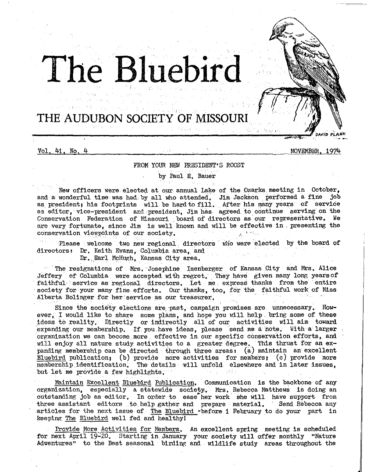

Vol. 41, No. 4

NOVEMBER, 1974

# FROM YOUR NEW PRESIDENT'S ROOST

by Paul E, Bauer

n patr

New officers were elected at our annual Lake of the Ozarks meeting in October, and a wonderful time was had by all who attended. Jim Jackson performed a fine job as president; his footprints will be hard to fill After his many years *of* service as editor, vice-president and president, Jim has agreed to continue serving on the Conservation Federation of Missouri board of directors as our representative. We are very fortunate, since Jim is well known and will be effective in presenting the conservation viewpoints of our society,

Please welcome two new regional directors who were elected by the board of directors: Dr. Keith Evans, Columbia area, and

Dr. Earl McHugh, Kansas City area,

The resignations of Mrs. Josephine Isenberger of Kansas City and Mrs, Alice Jeffery of Columbia were accepted with regret, .They have given many long yearsof faithful service as regional directors, Let me express thanks from the entire society for your many fine efforts. Our thanks, too, for the faithful work of Miss Alberta Bolinger for her service as our treasurer.

Since the society elections are past, campaign promises are unnecessary. However, I would like to share some plans, and hope you will help. bring some of these ideas to reality, Directly or indirectly all *of* our activities will aim toward expanding our membership. If you have ideas, please send me a note. With a larger organization we can become. more effective in our specific conservationefforts, and will enjoy all nature study activities to a greater degree. This thrust for an expanding membership can be directed through three areas (a) maintain an excellent Bluebird publication; (b) provide more activities for members; (c) provide more membership identification. The details will unfold elsewhere and in later issues, but let me provide a few highlights but iet me provide a few highlights,

Maintain Excellent Bluebird Publication, Communication is the backbone of any organization, especially a statewide society. Mrs. Rebecca Matthews is doing an outstanding job as editor. In order to ease her work she will have support from three assistant editors to help gather and prepare material, Send Rebecca any articles for the next issue of The Bluebird -before 1 February to do your part in keeping The Bluebird well fed and healthy!

Provide More Activities for Members. An excellent spring meeting is scheduled for next April 19-20, Starting in January your society will offer monthly "Nature Adventures" to the Best seasonal birding and wildlife study areas throughout the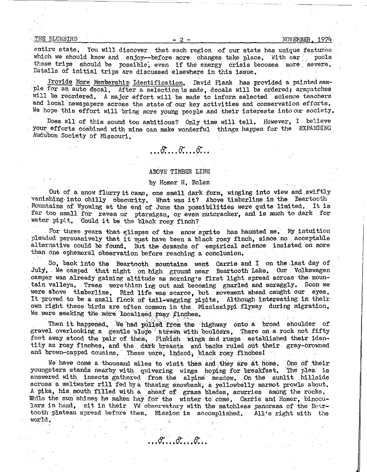$\frac{1}{2}$  -  $\frac{1974}{1974}$ 

entire state. You will discover that each region of our state has unique features which we should know and enjoy--before more changes take place. With  $car$  pools these trips should be possible, even if the energy crisis becomes more severe. Details of initial trips are discussed elsewhere in this issue.

Provide More Membership Identification, David Plank has provided a painted sample for an auto decal, After a selection is made, decals will be ordered; armpatches will be reordered, *A* major effort will be made to inform selected science teachers and local newspapers across the state of our key activities and conservation efforts, We hope this effort will bring *more* young people .and their interests into our society,

Does all of this sound too ambitious? Only time will tell, However, I believe your efforts combined with mine can make wonderful things happen for the EXPANDING Audubon Society of Missouri,

# ABOVE TIMBER LINE

 $\ldots \sigma \ldots \sigma \ldots \sigma \ldots$ 

# by Homer R, Bolen

Out of a snow flurry it came, one small dark form, winging into view and swiftly vanishing into chilly obscurity. What was it? Above timberline in the Beartooth Mountains of Wyoming at the end of June the possibilities were quite limited. It is far too small for raven or ptarmigan, or even nutcracker, and is much to dark for -water pipit, Could it be the black rosy finch?

For three years that glimpse of the snow sprite has haunted me. My intuition pleaded persuasively that it must have been a black rosy finch, since no acceptable alternative could be found. But the demands of empirical science insisted on more than one ephemeral observation before reaching a conclusion,

 $\sim$  So, back into the Beartooth mountains went Carrie and I on the last day of July, We camped that night on high ground near Beartooth Lake, Our Volkswagen camper was already gaining altitude as morning's first light spread across the mountain valleys, Trees werethinn ing out and becoming gnarled and scraggly, Soon we were above timberline. Bird life was scarce, but movement ahead caught our eyes. It proved to be a small flock of tail-wagging' pipits, Although interesting in thelr own right these birds are often common in the Mississippi flyway during migration, We were seeking the more localized rosy finches.

Then it happened. We had pulled from the highway onto a broad shoulder of gravel overlooking a gentle slope strewn with boulders. There on a rock not fifty feet away stood the pair of them, Pinkish wings and rumps established their identity as rosy finches, and the dark breasts and backs ruled out their gray-crowned and brown-capped cousins. These were, indeed, black rosy finches!

We have come a thousand miles to visit them and they are at home. One of their youngsters stands nearby with quivering wings hoping for breakfast. The plea is answered with insects gathered from the alpine meadow. On the sunlit hillside across a meltwater rill fed by a thawing snowbank, a yellowbelly marmot prowls about. A. pika, his mouth filled with a sheaf of grass blades, scurries among the rocks. While the sun shines he makes hay for the winter to come. Carrie and Homer, binoculars in hand, sit in their VW observatory with the matchless panorama of the Beartooth plateau spread before them. Mission is accomplished. All's right with the world,

 $\ldots$  $\mathcal{F}\ldots$  $\mathcal{F}\ldots$  $\mathcal{F}\ldots$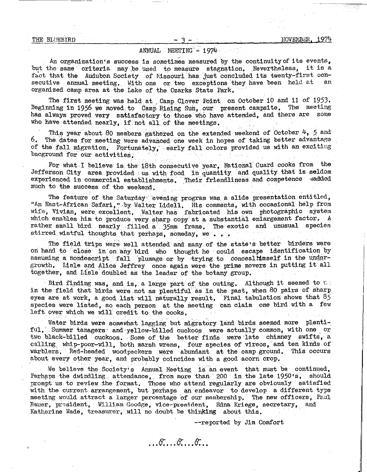# $A$ NNUAL MEETING' - 1974

An organization's success is sometimes measured by the continuity of its events, but the same criteria may be used to measure stagnation. Nevertheless, it is a fact that the Audubon Society of Missouri has just concluded its twenty-first consecutive annual meeting. With one or two exceptions they have been held at an organized camp area at the Lake of the Ozarks State Park, ·

The first meeting was held at Camp Clover Point on October 10 and 11 of 1953. Beginning in 1956 we moved to Camp Rising Sun, our present campsite. The meeting has always proved very satisfactory to. those who have attended, and there are some who have attended nearly, if not all of the meetings.

This year about 80 members gathered on the extended weekend of October  $4$ , 5 and  $6$ . The dates for meeting were advanced one week in hopes of taking better advantage of the fall migration. Fortunately, early fall colors provided us with an exciting bacground for our activities;

For what I believe is the 18th consecutive year, National Guard cooks from the Jefferson City area provided us with food in quantity and quality that is seldom experienced in commercial establishments. Their friendliness and competence -sadded much to the success of the weekend,

The feature of the Saturday evening program was a slide presentation entitled, "An East-African Safari, " by Walter Lidell. His comments, with occasional help from wife, Vivian, were excellent, Walter has fabricated his own photographic system which enables him to produce very sharp copy at a substantial enlargement factor. A rather small bird nearly filled a 35mm frame. The exotic and unusual species stirred wistful thoughts that perhaps, someday, we . . .

The field trips were well attended and many of the state's better birders were on hand to close in on any bird who thought he could escape identification by assuming a nondescript fall plumage or by trying to concealhimself in the undergrowth. Lisle and Alice Jeffrey once again were the prime movers in putting it all together, and Lisle doubled as the leader of the botany group.

· Bird finding was, and is, a large part of the outing. Although it seemed to  $t$ : in the field that birds were not as plentiful' as in the past, when 80 pairs of sharp eyes are at work, a good list will naturally result. Final tabulation shows that  $85$ species were listed, so each person at the meeting can claim one bird with a few left over which we will credit to the cooks.

Water birds were somewhat lagging but migratory land birds seemed more plenti-<br>ful,' Summer tanagers and yellow-billed cuckoos were actually common, with one or two black-billed cuckoos, Some of the better finds were late chimney swifts, a calling whip-poor-will, both marsh wrens, four species of vireos, and ten kinds of warblers, Red-headed woodpeckers were abundant at the camp ground, This occurs about every other year, and probably coincides with a good acorn crop.

We believe the Society's Annual Meeting is an event that must be continued, Perhaps the dwindling attendance, from more than 200 in the late 1950's, should prompt us to review ;the format, Those who attend regularly are obviously satisfied with the current arrangement, but perhaps an endeavor to develop a different type meeting would attract a larger percentage 'of our membership, The new officers, Paul Bauer, president, William Goodge, vice-president, Edna Kriege, secretary, and Katherine Wade, treasurer, will no doubt be thinking about this.

.. *. fl: ... -e: ... &': ••* 

--reported by Jim Comfort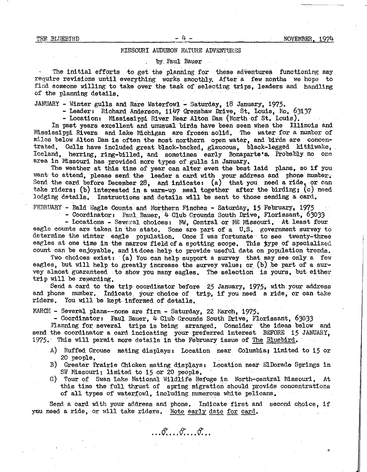# MISSOURI AUDUBON NATURE ADVENTURES

by Paul Bauer

The initial efforts to get the planning for these adventures functioning may require revisions until everything works smoothly. After a few months we hope to find someone willing to take over the task of selecting trips. leaders and handling of the planning details,

JANUARY - Winter gulls and Rare Waterfowl - Saturday, 18 January, 1975.<br>- Leaders Richard Anderson, 1147 Grenshaw Drive, St, Louis, Mo. 63137<br>- Locations ~Mississippi River Near Alton Dam (North of St, Louis).

In past years excellent and unusual birds have been seen when the Illinois and Mississippi Rivers and Lake Michigan are frozen solid, The water for a number of miles below Alton Dam is often the most northern open water, and birds are concentrated, Gulls have included great black-backed, glaucous, black-legged kittiwake, Iceland, herring, ring-billed, and sometimes early Bonaparte's. Probably no one area in Missouri has provided more types of gulls in January.

The weather at this time of year can alter even the best laid plans, so if you want to attend, please send the leader a card with your address and phone number; Send the card before December 28, and indicate:  $(a)$  that you need a ride, or can take riders; {b) interested in a warm-up meal together after the birding; (c) need lodging details. Instructions and details will be sent to those sending a card.

FEBRUARY - Bald Eagle Counts and Northern Finches - Saturday, 15 February, 1975<br>- Coordinator: Paul Bauer, 4 Club Grounds South Drive, Florissant, 63033<br>- Locations - Several choices: NW, Central or NE Missouri, At least

eagle counts are taken in the state. Some are part of a U.S. government survey to determine the winter eagle population, Once I was fortunate to see twenty-three eagles at one time in the narrow field of a spotting scope. This type of specialized count can be enjoyable, and it does help to provide useful data on population trends,

Two choices exist: (a) You can help support a survey that may see only a few eagles, but will help to greatly increase the survey value; or  $(b)$  be part of a survey almost guaranteed to show you many eagles. The selection is yours, but either trip will be rewarding,

Send a card to the trip coordinator before 25 January, 1975, with your address and phone number. Indicate your choice of trip, if you need a ride, or can take riders, You will be kept. informed of details,

WARCH - Several plans--none are firm - Saturday, 22 March, 1975.<br>- Coordinator: Paul Bauer, 4 Club Grounds South Drive, Florissant, 63033

Planning for several trips is being arranged. Consider the ideas below and send the coordinator a card incicating your preferred interest BEFORE 15 JANUARY, 1975. This will permit more details in the February issue of The Bluebird.

- A) Ruffed Grouse mating displays• Location near Columbia; limited to 15 or 20 people,
- B) Greater Prairie Chicken mating displays: Location near ElDorado Springs in SW Missouri; limited to 15 or 20 people.
- C) Tour of Swan Lake National Wildlife Refuge in North-central Missouri. At this time the full thrust of spring migration should provide concentrations of all types of waterfowl. including numerous white pelicans.

Send a card with your address and phone. Indicate first and second choice, if you need a ride, or will take riders. Note early date for card.

 $\mathcal{F}_{\alpha}$ ,  $\mathcal{F}_{\alpha}$ ,  $\mathcal{F}_{\alpha}$ ,  $\mathcal{F}_{\alpha}$ ,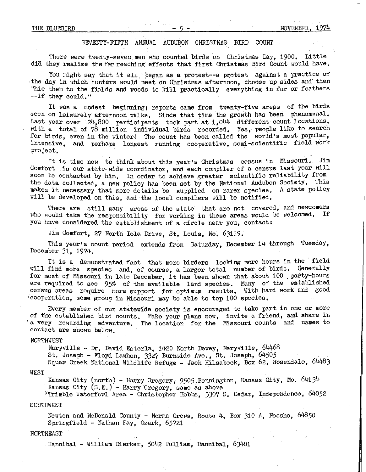# SEVENTY-FIFTH ANNUAL AUDUBON CHRISTMAS BIRD COUNT

There were twenty-seven men who counted birds on Christmas Day, 1900, Little dia they realize the far reaching effects that first Christmas Bird Count would have.

You might say that it all began as a protest--a protest against a practice of ·the day in which hunters would meet on Christmas afternoon, choose up sides and then "hie them to the fields and woods to kill practically everything in fur or feathers --if they could,"

It was a modest beginning; reports came from twenty-five areas of the birds seen on leisurely afternoon walks. Since that time the growth has been phenomonal. Last year over 24,800 participants took part at 1,044 different count locations, with a total of  $78$  million individual birds recorded. Yes, people like to search for birds, even in the winter! The count has been called the world's most popular, htensive, and perhaps longest running cooperative, semi-scientific field work project,

It is time now to think about this year's Christmas census in Missouri, Jim Comfort is our state-wide coordinator, and each compiler of a census last year will soon be contacted by him, In order to achieve greater scientific reliability from the data collected, a new policy has been set by the National Audubon Society. This makes it necessary that more details be supplied on rarer species. A state pollcy will be developed on this, and the local compilers will be notified,

There are still many areas of the state that are not covered, and newcomers  $\text{coll }$  take the responsibility for uppling in these areas would be welcomed. If who would take the responsibility for working in these areas would be welcomed. you have considered the establishment of a circle near you, contact:

Jim Comfort, 27 North lola Drive, St. Louis, Mo, 63119.

This year's count period extends from Saturday, December 14 through Tuesday, December 31, 1974,

It is a demonstrated fact that more birders looking more hours in the field will find more species and, of course, a larger total number of birds. Generally for most of Missouri in late December, it has been shown that about 100 . party-hours are required to see 95% of the available land species, Many of the established census areas require more support for optimum results, With hard work and good 'cooperation, some group in Missouri may be able to top 100 species.

Every member of our statewide society is encouraged to take part in one or more of the established bird counts, Make your plans now, invite a friend, and share in 'a very rewarding adventure, The location for the Missouri counts and names to contact are shown below,

#### **NORTHWEST**

Maryville - Dr, David Esterla, 1420 North Dewey, Maryville, 64468

St. Joseph - Floyd Lawhon, 3327 Burnside Ave,, St. Joseph, 64505

Squaw Creek National Wildlife Refuge - Jack Hilsabeck, Box 62, Rosendale, 64483

### WEST

Kansas City (north) - Harry Gregory, 9505 Bennington, Kansas City, Mo. 64134 Kansas City (S,E,)- Harry Gregory, same as above

\*Trimble Waterfowl Area - Christopher Hobbs, 3307 S. Cedar, Independence, 64052

# SOUTHWEST

Newton and McDonald County - Norma Crews, Route  $4$ , Box 310 A, Neosho, 64850 Springfield - Nathan Fay, Ozark, 65721

# NORTHEAST

Hannibal - William Dierker, 5042 Pulliam, Hannibal, 63401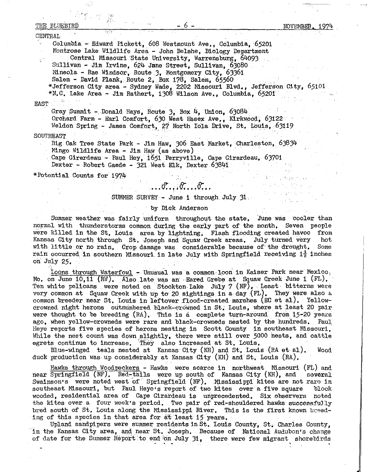# THE BLUEBIRD  $-6 -$  NOVEMBER,  $197<sup>1</sup>$

#### CENTRAL

ing r

Columbia - Edward Pickett, 608 Westmount Ave., Columbia, 65201 Montrose Lake Wildlife Area - John Belshe, Biology Department Central Missouri State University, Warrensburg, 64093

Sullivan - Jim Irvine, 624 Jane Street, Sullivan, 63080

Mineola - Rae Windsor, Route 3, Montgomery City, 63361<br>Salem - David Plank, Route 2, Box 178, Salem, 65560

\*Jefferson City area - Sydney Wade, 2202 Missouri Blvd., Jefferson City, 65101  $*N.C.$  Lake Area - Jim Rathert, 1308 Wilson Ave., Columbia, 65201

#### EAST

Gray Summit - Donald Hays, Route 3, Box 4, Union, 63084

Orchard Farm - Earl Comfort, 630 West Essex Ave., Kirkwood, 63122 Weldon Spring - James Comfort, 27 North Iola Drive, St. Louis, 63119

### SOUTHEAST

Big Oak Tree State Park - Jim Haw, 306 East Market, Charleston,  $63834$ Mingo Wildlife Area - Jim Haw (as above)

Cape Girardeau - Paul Hey, 1651 Perryville, Cape Girardeau, 63701 Dexter - Robert Gaede - 321 West Elk, Dexter 63841

\*Potential Counts for 1974

# $\ldots$  or  $\ldots$  or  $\ldots$  or  $\ldots$

### SUMMER SURVEY - June 1 through July 31 .

#### by Dick Anderson

Summer weather was fairly uniform throughout the state. June was cooler than normal with thunderstorms common during the early part of the month, Seven people were killed in the St. Louis area by lightning. Flash flooding created havoc from<br>Kansas City north through St. Joseph and Squaw Creek areas. July turned very hot Kansas City north through St, Joseph and Squaw Creek areas, July turned very with little or no rain, Crop damage was considerable because of' the drought, Some rain occurred in southern Missouri. in late July with Springfield receiving  $1\frac{1}{2}$  inches on July *25 •* 

Loons through Waterfowl - Unusual was a common loon in Kaiser Park near Mexico, Mo, on June  $10,11$  (RW). Also late was an Eared Grebe at Squaw Creek June 1 (FL). Ten white pelicans were noted on Stockton Lake July 7 (NF). Least bitterns were very common at Squaw Creek with up to 20 sightings in a day  $(FL)$ . They were also a common breeder near St. Louis in leftover flood-created marshes (EC et al). Yellowcrowned night herons outnumbered black-crowned in St. Louis, where at least 20 pair were thought to be breeding  $(RA)$ . This is a complete turn-around from 15-20 years ago, when yellow-crowneds were rare and black-crowneds nested by the hundreds. Paul ago, when yellow-crowneds were rare and black-crowneds nested by the hundreds. Heye reports five species of herons nesting in Scott County in southeast Missouri, While the nest count was down slightly, there were still over 5000 nests, and cattle egrets continue to increase, They also increased at St. Louis.

Blue-winged teals nested at Kansas City  $(KH)$  and St, Louis  $(RA et a1)$ . Wood duck production was up considerably at Kansas City (KH) and St, Louis (RA),

Hawks through Woodpeckers - Hawks were scarce in northwest Missouri (FL) and near Springfield (NF). Red-tails were up south of Kansas City (KH), and several Swainson's were noted west of Springfield (NF). Mississippi kites are not rare in southeast Missouri, but Paul Heye's report of two kites over a five square block wooded, residential area of Cape Girardeau is unprecedented. Six observers noted the kites over a four week's period. Two pair of red-shouldered hawks successfully bred south of St. Louis along the Mississippi River. This is the first known breeding of this species in that area for at least 15 years,

Upland sandpipers were summer residents in St. Louis County, St. Charles County, in the Kansas City area, and near St. Joseph. Because of National Audubon's change of date for the Summer Report to end on July 31, there were few migrant shorebirds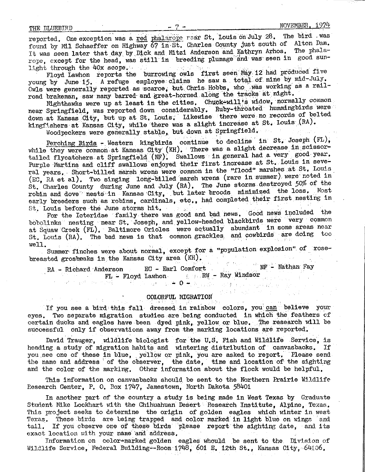reported. One exception was a red phalarope rear St. Louis on July 28. The bird was found by M11 Schaeffer on Highway 67 in St. Charles County just south of Alton Dam. It was seen later that day by Dick and Mitzi Anderson and Kathryn Arhos. The phalarope, except for the head, was still in breeding plumage and was seen in good sun-<br>light through the 40x scope.

Floyd Lawhon reports the burrowing owls first seen May 12 had produced five young by June 15. A refuge employee claims he saw a total of nine by mid-July. Owls were generally reported as scarce, but Chris Hobbs, who. was working as a railroad brakeman, saw many barred and great-horned along the tracks at night.

Mighthawks were up at least in the cities. Chuck-will's widow, normally common near Springfield, was reported down considerably, Ruby-throated hummingbirds were down at Kansas City, but up at St. Louis. Likewise there were no records of belted kingfishers at Kansas City, while there was a slight increase at St. Louis (RA).

Hoodpeckers were generally stable,. but down at Springfield,

Perching Birds. - Western kingbirds continue to decline in St, Joseph  $(FL)$ , while they were common at Kansas City (KH). There was a slight decrease in scissortailed flycatchers at Springfield (NF). Swallows in general had a very good year. Purple Martins and cliff swallows enjoyed their first increase at St. Louis in several years. Short-billed marsh wrens were common in the "flood" marshes at St. Louis (EC, RA et al). Two singing long-billed marsh wrens (rare in summer) were noted in St. Charles County during June and July (RA). The June storms destroyed 50% of the robin and dove nests in Kansas City, but later broods minimized the loss. Most early breeders such as robins, cardinals, etc., had completed their first nesting in.<br>St. Louis before the June storms hit.

For the Icteridae family there was good and bad news, Good news included the bobolinks nesting near St. Joseph, and yellow-headed blackbirds were very common at Squaw Creek (FL). Baltimore Orioles were actually abundant in some areas near St, Louis (RA), The bad news is that common grackles and. cowbirds are doing teo well, . · . . .

Summer finches were about normal, except for a "population explosion" of rosebreasted grosbeaks in the Kansas City area  $(KH)$ .

 $RA$  - Richard Anderson EC - Earl Comfort  $NF$  - Nathan Fay FL - Floyd Lawhon.  $0 - R$  Ray Windsor .;.  $\therefore$  0-  $\therefore$  0-  $\therefore$  0-  $\therefore$  .

# COLORFUL MIGRATION

If you see a bird this fall dressed in rainbow colors, you can believe your eyes, Two separate migration studies are being conducted in which the feathers of certain ducks and eagles have been dyed pink, yellow or blue. The research will be successful only if observations away from the marking locations are reported.

David Trauger, wildlife biologist for the U.S. Fish and Wildlife Service, is<br>ng a study of migration habits and wintering distribution of canvasbacks. If heading a study of migration habits and wintering distribution of canvasbacks. you see one of these in blue, yellow or pink, you are asked to report. Please send the name and address of the observer, the date, time and location of the sighting and the color of the marking, Other information about the flock would be helpful,

This information on canvasbacks should. be sent to the Northern Prairie Wildlife Research Center, P. O. Box 1747, Jamestown, North Dakota 58401

In another part of the country a study is being made in West Texas by Graduate Student Mike Lockhart with the Chihuahuan Desert Research Institute, Alpine, Texas. This project seeks to determine the origin of golden eagles which winter in west Texas. These birds are being trapped and color marked in light blue on wings and tail. If you observe one of these birds please report the sighting date, and its exact location with your name and address,

Information on color-marked golden eagles whould be sent to the Division of Wildlife Service, Federal Building--Room 1748, 601 E. 12th St., Kansas City, 64106,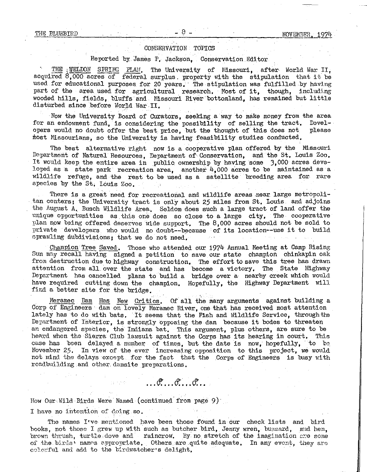# CONSERVATION TOPICS

# Reported by James P, Jackson, Conservation Editor

. THE  $_{\text{i}}$ WELDON SPRING PLAN, The University of Missouri, after World War II, acquired  $8,000$  acres of federal surplus. property with the stipulation that it be used for educational purposes for 20 years. The stipulation was fulfilled by having part of the area used for agricultural research. Most of it, though, including wooded hills, fields, bluffs and Nissouri River bottomland, has remained but little disturbed since before World War II.

Now the University Board of Curators, seeking a way to make money from the area<br>In endowment fund, is considering the possibility of selling the tract. Develfor an endowment fund, is considering the possibility of selling the tract. Devel-<br>opers would no doubt offer the best price, but the thought of this does not please opers would no doubt offer the best price, but the thought of this does not most Missourians, so the University is having feasibility studies conducted,

The best alternative right now is a cooperative plan offered by the Missouri Department of Natural Resources, Department of Conservation, and the St. Louis Zoo. It would keep the entire area in public ownership by having some 3,000 acres developed as a state park recreation area, another  $4,000$  acres to be maintained as a wildlife refuge, and the rest to be used as a satellite breeding area for rare species by the St, Louis Zoo,

There is a great need for recreational and wildlife areas near large metropoli-<br>tan centers; the University tract is only about 25 miles from St, Louis and adjoins the August A, Busch Wildlife Area, Seldom does such a large tract of land offer the unique opportunities as this one does so close to a large city, The cooperative plan now being offered deserves wide support, The 8,000 acres should not be sold to private developers who would no doubt--because of its location~-use it to build sprawling subdivisions; that we do not need.

Champion Tree Saved. Those who attended our 1974 Annual Meeting at Camp Rising Sun may recall having signed a petition to save our state champion chinkapin oak from destruction due to highway construction. The effort to save this tree has drawn attention from all over the state and has become a victory. The State Highway attention from all over the state and has become a victory. Department has cancelled plans to build a bridge over a nearby creek which would have required cutting down the champion, Hopefully, the Highway Department will find a better site for the bridge,

Meramec Dam Has New Critics. Of all the many arguments against building a Corp of Engineers dam on lovely Meramec River, one that has received most attention lately has to do with bats. It seems that the Fish and Wildlife Service, through the Department of Interior, is strongly opposing the dam because it bodes to threaten an endangered species, the Indiana bat. This argument, plus others, are sure to be heard when the Sierra Club lawsuit against the Corps has its hearing in court. This heard when the Sierra Club lawsuit against the Corps has its hearing in court. case has been delayed a number of times, but the date is now, hopefully, to be November 25. In view of the ever increasing opposition to this project, we would not mind the delays except for the fact that the Corps of Engineers is busy with roadbuilding and other damsite preparations.

 $\mathcal{F}_1, \mathcal{F}_2, \mathcal{F}_3, \mathcal{F}_4, \mathcal{F}_5, \ldots$ 

How Our Wild Birds Were Named (continued from page 9)

I have no intention of doing so.

The names I've mentioned have been those found in our check lists and bird books, not those I grew up with such as butcher bird, Jenny wren, buzzard, mud hen, brown thrush, turtle dove and raincrow. By no stretch of the imagination are some of the birds' names appropriate. Others are quite adequate. In any event, they are colorful and add to the birdwatcher's delight.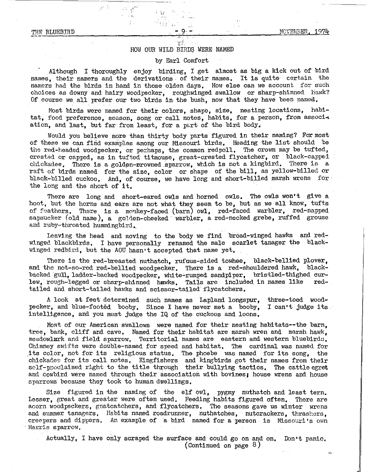#### *v;::*  HOW OUR WILD BIRDS WERE NAMED

 $\cdot$  :  $\cdot$   $\cdot$ 

# by Earl Comfort

Although I thoroughly enjoy birding, I get almost as big a kick out of bird names, their namers and the derivations of their names. It is quite certain the namors had the birds in hand in those olden days, How else can we account for such choices as downy and hairy woodpecker, roughwinged swallow or sharp~shinned hawk? Of course we all prefer our two birds in the bush, now that they have been named.

Most birds were named for their colors, shape, size, nesting locations, habitat, food preference, season, song or call notes, habits, for a person, from association, and last, but far from least, for a part of the bird body.

Would you believe more than thirty body parts figured in their naming? For most of these we can find examples among our Missouri birds, Heading the list should be the red-headed woodpecker, or perhaps, the common redpoll. The crown may be tufted, crested or capped, as in tufted titmouse, great-crested flycatcher, or black-capped chickadee. There is a golden-crowned sparrow, which is not a kingbird. There is a raft of birds named for the size, color or shape of the bill, as yellow-billed or black-billed cuckoo, And, of course, we have long and short-billed marsh wrens for the long and the short of it.

There are long and short-eared owls and horned owls. The owls won't give a hoot, but the horns and ears are not what they seem to be, but as we all know, tufts of feathers. There is a monkey-faced (barn) owl. red-faced warbler, red-napped sapsucker (old name), a golden-cheeked warbler, a red-necked grebe, ruffed grouse and. ruby-throated hummingbird.

Leaving the head and moving to the body we find broad-winged hawks and redwinged blackbirds, I have personally renamed the male scarlet tanager the blackwinged redbird, but the AOU hasn•t accepted that name yet.

There is the red-breasted nuthatch, rufous-sided towhee, black-bellied plover, and the not-so-red red-bellied woodpecker. There is a red-shouldered hawk, blackbacked gull, ladder-backed woodpecker, white-rumped sandpiper, bristled-thighed curlew, rough-legged or sharp-shinned hawks, Talis are included in names like redtailed and short-tailed hawks and scissor-tailed" flycatchers.

A look at feet determined such names as Lapland longspur, three-toed woodpeeker, and blue-footed booby, Since I have never met a booby, intelligence, and you must judge the IQ of the cuckoos and loons, I can't judge its

Most of our American swallows were named for their nesting habitats--the barn, tree, bank, cliff and cave, Named for their habitat are marsh wren and marsh hawk, meadowlark and field sparrow, Territorial names are eastern and western bluebirds, Chimney swifts were double-named for speed and habitat. The cardinal was named for diministy barrack acro device head for speed and hear dev, the conduction and hear device. chickadee for its call notes. Kingfishers and kingbirds got their names from their solf-poolaimed right to the title through their bullying tactics. The cattle egret and cowbird were named through their association with bovines; house wrens and house sparrows because they took to human dwellings,

Size figured in the naming of the elf owl, pygmy nuthatch and least tern. Lesser, great and greater were often used, Feeding habits figured often, There are acorn woodpeckers, gnatcatchers, and flycatchers. The seasons gave us winter wrens and summer tanagers. Habits named roadrunner, nuthatches, nutcrackers, thrashers, creepers and dippers. An example of a bird named for a person is Missouri's own Harris sparrow.

Actually, I have only scraped the surface and could go on and on. Don't panic. (Continued on page  $8$ )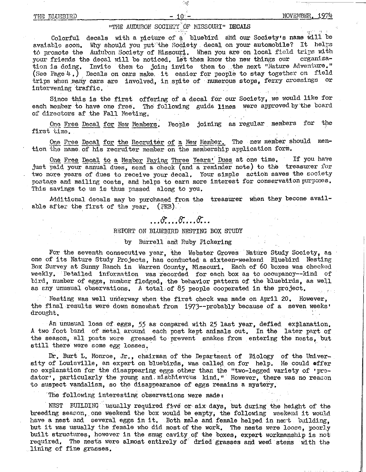### THE BLUEBIRD

#### NOVEMBER.

# "THE AUDUBON SOCIETY OF MISSOURI" DECALS

*'-.\_+\_Jf;* 

Colorful decals with a picture of a bluebird and our Society's name will be avaiable soon. Why should you put the Society decal on your automobile? It helps tô promote the Audubon Society of Missouri, When you are on local field trips with<br>your friends the decal will be noticed. Let them know the new things our corganizayour friends the decal will be noticed. Let them know the new things our tion is doing. Invite them to join; invite them to the next "Nature Adventure." (See Page  $4$ .) Decals on cars make. it easier for people to stay together on field trips when many cars are involved, in spite of numerous stops, ferry crossings or intervening traffic.

Since this is the first offering of a decal for our Society, we would like for each member to have one free. The following guide lines were approved by the board of directors af the Fall Meeting.

One Free Decal for New Members, People joining as regular members for the first time.

One Free Decal for the Recruiter of a New Member. The new member should mention the name of his recruiter member on the membership application form.

One Free Decal to a Member Paying Three Years' Dues at one time. If you have just paid your annual dues, send a check (and a reminder note) to the treasurer for two more years of dues to receive your decal. Your simple action saves the society postage and mailing costs, and helps to earn more interest for conservation purposes. This savings to us is thus passed along to you.

Additional decals may be purchased from the treasurer when they become available after the first of the year.  $(PEB)$ .

# *,.,cS:, .. B': •..* **e: ..**

#### REPORT ON BLUEBIRD NESTING BOX STUDY

## by Burrell and Ruby Pickering

For the seventh consecutive year, the Webster Groves Nature Study Society, as one of its Nature Study Projects, has conducted a sixteen-weekend Bluebird Nesting Box Survey at Sunny Ranch in Warren County, Missouri, Each of 60 boxes was checked weekly. Detailed information was recorded for each box as to occupancy--kind of bird, number of eggs, number fledged, the behavior pattern of the bluebirds, as well as any unusual observations, A total·of *85* people cooperated in the project,

Nesting was well uriderway when the first check was made on April 20. However, the final results were down somewhat from 1973--probably because of a seven weeks• drought,

An unusual loss of eggs, 55 as compared with 25 last year, defied explanation. A two foot band of metal around each post kept animals out. In the later part of the season, all posts wore greased to prevent snakes from entering the nests, but still there were some egg losses.

Dr. Burt L, Monroe, Jr., chairman of the Department of Biology of the University of Louisville, an expert on bluebirds, was called on for help. He could offer no explanation for the disappearing eggs other than the "two-legged variety of •predator<sup>,</sup>, particularly the young and. mischievcus kind." However, there was no reason to suspect vandalism, so the disappearance of eggs remains a mystery,

The following interesting observations were made:

NEST BUILDING usually required five or six days, but during the height of the breeding season, one weekend the box would be empty, the following weekend it would have a nest and several eggs in it. Both male and female helped in nect building, but it was usually the female who did most of the work. The nests were loose, poorly built structures, however in the snug cavity of the boxes, expert workmanship is not required. The nests were almost entirely of dried grasses and weed stems with the lining of fine grasses.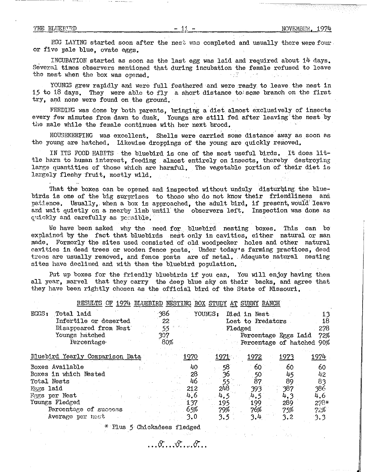*EGG* LAYING started soon after the nest nac completed and usually there were four or five pale blue, ovate eggs,

INCUBATION started as soon as the last egg was laid and required about 14 days, Several times observers mentioned that during incubation the female refused to leave the nest when the box was one ned the nest when the box was opened.

YOUNGS grew rapidly and were full feathered and were ready to leave the nest in 15 to 18 days, They were able to fly a short distance *tot* some branch on the first try, and none were found on the ground,

FEEDING was done by both parents, bringing a diet almost exclusively of insects every few minutes from dawn to dusk, Youngs are still fed after leaving the nest by the male while the female continues with her next brood,

HOUSEKEEPING was excellent. Shells were carried some distance away as soon as the young are hatched, Likewise droppings of the young are quickly removed,

IN ITS FOOD HABITS the bluebird is one of the most useful birds, It does little harm to human interest, feeding almost entirely on insects, thereby destroying large quantities of those which are harmful, The vegetable portion of their diet is largely fleshy fruit, mostly wild.  $\pm$  1.5  $^{\circ}$ 

That the boxes can be opened and inspected without unduly disturbing the bluebirds is one of the big surprises to those who do not know their friendliness and patience. Usually, when a box is approached, the adult bird, if present, would leave and wait quietly on a nearby limb until the observers left. Inspection was done as quickly and carefully as pc:sible.

We have been asked why the need for bluebird nesting boxes. This can be explained by the fact that bluebirds nest only in cavities, either natural or man made, Formerly the sites used consisted of old woodpecker holes and other natural r.avities in dead trees or wooden fence posts, Under today•s farming practices, dead trees are usually removed, and fence posts are of metal. Adequate natural nesting sites have declined and with them the bluebird population,

Put up boxes for the friendly bluebirds if you can, You will enjoy having them all year, marvel that they carry the deep blue sky on their backs, and agree that they have been rightly chosen as the official bird of the State of Missouri,

| RESULTS OF 1974 BLUEBIRD NESTING BOX STUDY AT SUNNY RANCH |     |               |               |                      |              |                                  |
|-----------------------------------------------------------|-----|---------------|---------------|----------------------|--------------|----------------------------------|
| $EGGS$ :<br>Total laid                                    | 386 |               | YOUNGS:       | Died in Nest         |              | 13                               |
| Infertile or deserted                                     | 22  |               |               | Lost to Predators    |              | 18                               |
| Disappeared from Nest                                     | 55  |               | Fledged       |                      |              | 278                              |
| Youngs hatched                                            | 307 |               |               | Percentage Eggs Laid |              | 72%                              |
| Percentage                                                | 80% |               |               |                      |              | $\sim$ Percentage of hatched 90% |
| Bluebird Yearly Comparison Data                           |     | <u> 1970 </u> | <u> 1971 </u> | <u> 1972 </u>        | <u> 1973</u> | <u> 1974 </u>                    |
| Boxes Available                                           |     | 40            | 58            | 60                   | 60.          | 60                               |
| Boxes in which Nested                                     |     | 28            | 36            | -50                  | 45           | 42                               |
| Total Nests                                               |     | 46            |               | 87                   | 89           | 83                               |
| <b>Eggs laid</b>                                          |     | 212           | 248           | 393                  | 387          | 386                              |
| <b>Fggs</b> per Nest                                      |     | 4.6           | 4,5           | 4,5                  | 4, 3         | 4,6                              |
| Youngs Fledged                                            |     | 137           | 195           | 199                  | 289          | $278*$                           |
| Percentage of success                                     |     | 65%           | 79%           | 76%                  | 75%          | 72%                              |
| Average per nest                                          |     | 3.0           | 3.5           | 3.4                  | 3.2          | 3.3                              |

\* Plus *5* Chickadees fledged

 $\ldots \mathcal{E} \ldots \mathcal{E} \ldots \mathcal{E}$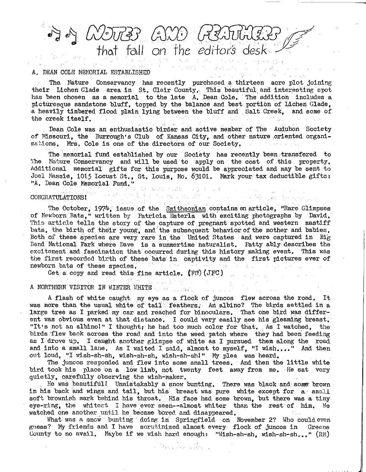··. ~ €~ *C!}3U[)] UJ:J:J* . .. . · tho.t fall *on* the *edifot<s desk* 

### A. DEAN COLE NEMORIAL ESTABLISHED

The Nature Conservancy has recently purchased a thirteen acre plot joining their Lichen Glade area in St. Clair County. This beautiful and interesting spot has been chosen as a memorial to the late  $A$ , Dean Cole, The addition includes a picturesque sandstone bluff, topped by the balance and best portion of Lichen Glade, a heavily timbered flood plain lying between the bluff and Salt Creek, and some of the creek itself,

Dean Cole was an enthusiastic birder and active member of The Audubon Society of Missouri, the Burrough's Club of Kansas City, and other nature oriented organizations, Mrs, Cole is one of the directors of our Society,

The memorial fund established by our Society has recently been transfered to The Nature Conservancy and will be used to apply on the cost of this property, Additional memorial gifts for this purpose would be appreciated and may be sent to Joel Massie, 1015 Locust St,, St, Louis, Mo, 63101, Mark your tax deductible gifts: "A, Dean Cole. Memorial Fund,"

医重用 人类的

a sa bha ann an co-ann an c

第四章 最高。

# CONGRATULATIONS I

The October, 1974, issue of the Smithsonian contains an article, "Rare Glimpses of Newborn Bats," written by Patricia Esterla with' exciting photographs by David, This article tells the story of the capture of pregnant spotted and western mastiff bats, the birth of their young, and the subsequent behavior of the mother and babies. Both of these species are very rare in the United States and were captured in Big Bend National park where Dave is a summertime naturalist, Patty ably·describes the excitement and fascination that occurred during this history making event. This was the first recorded birth of these bats in captivity and the first pictures ever of newborn bats of these species. newborn bats of these species, **Setting and Constitution** 

Get a copy and read this fine article.  $(FCF)$  (JFC)

**Congression** 

# A NORTHERN VISITOR IN WINTER WHITE . . . . . . . . . . . .

No.

A flash of white caught my eye as a flock of juncos flew across the road, It was more than the usual white of tail feathers. An albino? The birds settled in a large tree as I parked my car and reached for binoculars, That one bird was different was obvious even at that distance, I could very easily see his gleaming breast, "It•s not an albino!" I thought; he had too much color for that, As I watched, the birds flew back across the road and into the weed patch where they had been feeding as I drove up, I caught another glimpse of white as I pursued them along the road and into a small lane, As I waited I said, almost to myself, "I wish...." And then out loud, "I wish-sh-sh, wish-sh-sh, wish-sh-sh!" My plea was heard,

The juncos responded and flew into some small trees. And then the little white bird took his place on a low limb, not twenty feet away from me, He sat very quietly, carefully observing the wish-maker.

He was beautiful! Unmistakably a snow bunting, There was black and some brown in his back and wings and tail, but his breast was pure white except for a small soft brownish mark behind his throat. His face had some brown, but there was a tiny eye-ring, the whitest I have ever seen--almost whiter than the rest of him. We watched one another until he became bored and disappeared.

What was a snow bunting doing in Springfield on November 2? Who could even guess? My friends and I have scrutinized almost every flock of juncos in Greene County to no avail. Maybe if we wish hard enough: "Wish-sh-sh, wish-sh-sh,,,"  $(RM)$ 

J. Grant Louis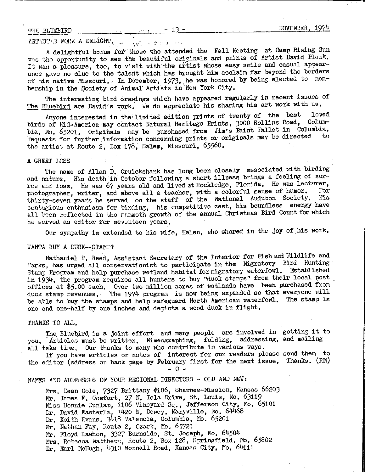# THE BLUEBIRD  $-13 -$  NOVEMBER, 1974

#### ARTIST'S WORK A DELIGHT. get - danú

A delightful bonus for those who attended the Fall Meeting at Camp Rising Sun was the opportunity to see the beautiful originals and prints of Artist David Plank. It was a pleasure, too, to visit with the artist whose easy smile and casual appearance gave no clue to the talent which has brought him acclaim far beyond the borders of his native Missouri. In December, 1973, he was honored by being elected to membership in the Society of Animal' Artists in New York City.

The interesting bird drawings which have appeared regularly in recent issues of The Bluebird are David's work. We do appreciate his sharing his art work with us.

Anyone interested in the limited edition prints of twenty of the best loved birds of Mid-America may contact Natural Heritage Prints, 3000 Rollins Road, Columbia, Mo. 65201. Originals may be purchased from Jim's Paint Pallet in Columbia. Requests for further information concerning prints or originals may be directed to the artist at Route 2, Box 178, Salem, Missouri, 65560.

## *A* GREAT LOSS

The name of Allan D, Cruickshank has long been closely associated with birding and nature. His death in October following a short illness brings a feeling of sorrow and loss, He was 67 years old and lived at Rockledge, Florida, He was lecturer, photographer, writer, and above all a teacher, with a colorful sense of humor. thirty-seven years he served on the staff of the National Audubon Society. His contagious enthusiasm for birding, his competitive zest, his boundless energy have all been reflected in the memmoth growth of the annual Christmas Bird Count for which he sorved as editor for seventeen years.

Our sympathy is extended to his wife, Helen, who shared in the joy of his work,

#### WANTA BUY A DUCK--STAMP?

Nathaniel P, Reed, Assistant Secretary of the Interior for Fish ani Wildlife and Parks, has urged all conservationist to participate in the Migratory Bird Hunting Stamp Program and help purchase wetland habitat for migratory waterfowl, Established in 1934, the program requires all hunters to buy "duck stamps" from their local post : offices at \$5,00 each, Over two million acres of wetlands have been purchased from duck stamp revenues, 'The 1974 program is now being expanded so that everyone will be able to buy the stamps and help safeguard North American waterfowl. The stamp is one and one-half by one inches and depicts a wood duck in flight,

#### THANKS TO ALL,

The Bluebird is a joint effort and many people are involved in getting it to you, Articles must be written, Mimeographing, folding, addressing, and mailing all take time, Our thanks to many who contribute in various ways,

If you have articles or notes of interest for our readers please send them to the editor (address on back page by February first for the next issue, Thanks, (RM) - 0 -

NAMES AND ADDRESSES OF YOUR REGIONAL DIRECTORS - OLD AND NEW:

Mrs. Dean Cole, 7327 Brittany #106, Shawnee-Mission, Kansas 66203 Mr. James F. Comfort, 27 N. Iola Drive, St. Louis, Mo. 63119 Miss Bonnie Dunlap, 1106 Vineyard Sq., Jefferson City, Mo. 65101 Dr. David Easterla, 1420 N. Dewey, Maryville, Mo. 64468 Dr. Keith Evans, 3418 Valencia, Columbia, Mo. 65201 Mr. Nathan Fay, Route 2, Ozark, Mo. 65721 Vir, Floyd Lawhon, 3327 Burnside, St, Joseph, Mo, 64504 Mrs. Rebecca Matthews, Route 2, Box 128, Springfield, Mo. 65802 Dr. Earl McHugh, 4310 Wornall Road, Kansas City, Mo. 64111